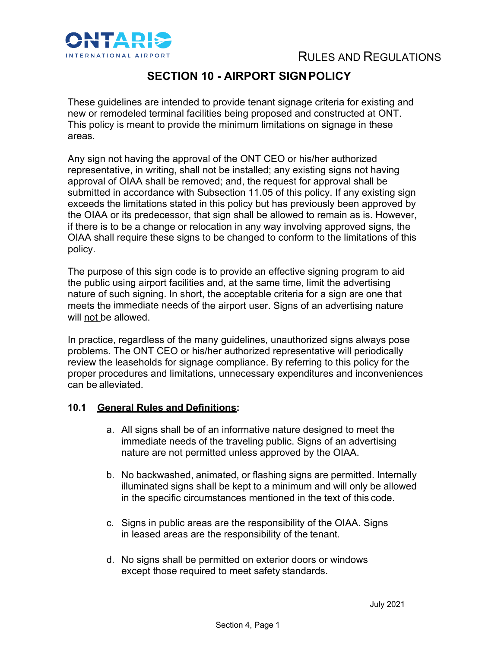

# RULES AND REGULATIONS

## **SECTION 10 - AIRPORT SIGN POLICY**

These guidelines are intended to provide tenant signage criteria for existing and new or remodeled terminal facilities being proposed and constructed at ONT. This policy is meant to provide the minimum limitations on signage in these areas.

Any sign not having the approval of the ONT CEO or his/her authorized representative, in writing, shall not be installed; any existing signs not having approval of OIAA shall be removed; and, the request for approval shall be submitted in accordance with Subsection 11.05 of this policy. If any existing sign exceeds the limitations stated in this policy but has previously been approved by the OIAA or its predecessor, that sign shall be allowed to remain as is. However, if there is to be a change or relocation in any way involving approved signs, the OIAA shall require these signs to be changed to conform to the limitations of this policy.

The purpose of this sign code is to provide an effective signing program to aid the public using airport facilities and, at the same time, limit the advertising nature of such signing. In short, the acceptable criteria for a sign are one that meets the immediate needs of the airport user. Signs of an advertising nature will not be allowed.

In practice, regardless of the many guidelines, unauthorized signs always pose problems. The ONT CEO or his/her authorized representative will periodically review the leaseholds for signage compliance. By referring to this policy for the proper procedures and limitations, unnecessary expenditures and inconveniences can be alleviated.

#### **10.1 General Rules and Definitions:**

- a. All signs shall be of an informative nature designed to meet the immediate needs of the traveling public. Signs of an advertising nature are not permitted unless approved by the OIAA.
- b. No backwashed, animated, or flashing signs are permitted. Internally illuminated signs shall be kept to a minimum and will only be allowed in the specific circumstances mentioned in the text of this code.
- c. Signs in public areas are the responsibility of the OIAA. Signs in leased areas are the responsibility of the tenant.
- d. No signs shall be permitted on exterior doors or windows except those required to meet safety standards.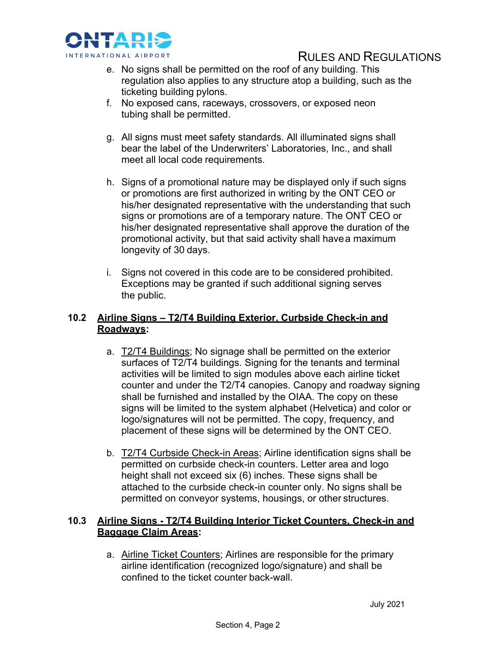

## RULES AND REGULATIONS

- e. No signs shall be permitted on the roof of any building. This regulation also applies to any structure atop a building, such as the ticketing building pylons.
- f. No exposed cans, raceways, crossovers, or exposed neon tubing shall be permitted.
- g. All signs must meet safety standards. All illuminated signs shall bear the label of the Underwriters' Laboratories, Inc., and shall meet all local code requirements.
- h. Signs of a promotional nature may be displayed only if such signs or promotions are first authorized in writing by the ONT CEO or his/her designated representative with the understanding that such signs or promotions are of a temporary nature. The ONT CEO or his/her designated representative shall approve the duration of the promotional activity, but that said activity shall havea maximum longevity of 30 days.
- i. Signs not covered in this code are to be considered prohibited. Exceptions may be granted if such additional signing serves the public.

### **10.2 Airline Signs – T2/T4 Building Exterior, Curbside Check-in and Roadways:**

- a. T2/T4 Buildings; No signage shall be permitted on the exterior surfaces of T2/T4 buildings. Signing for the tenants and terminal activities will be limited to sign modules above each airline ticket counter and under the T2/T4 canopies. Canopy and roadway signing shall be furnished and installed by the OIAA. The copy on these signs will be limited to the system alphabet (Helvetica) and color or logo/signatures will not be permitted. The copy, frequency, and placement of these signs will be determined by the ONT CEO.
- b. T2/T4 Curbside Check-in Areas; Airline identification signs shall be permitted on curbside check-in counters. Letter area and logo height shall not exceed six (6) inches. These signs shall be attached to the curbside check-in counter only. No signs shall be permitted on conveyor systems, housings, or other structures.

## **10.3 Airline Signs - T2/T4 Building Interior Ticket Counters, Check-in and Baggage Claim Areas:**

a. Airline Ticket Counters; Airlines are responsible for the primary airline identification (recognized logo/signature) and shall be confined to the ticket counter back-wall.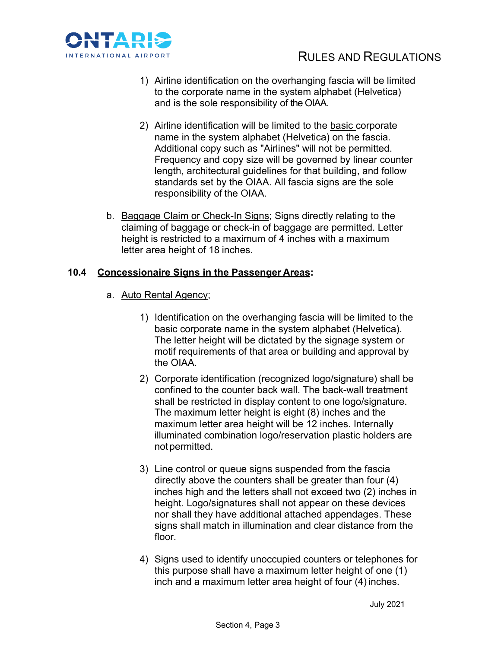

- 1) Airline identification on the overhanging fascia will be limited to the corporate name in the system alphabet (Helvetica) and is the sole responsibility of the OIAA.
- 2) Airline identification will be limited to the basic corporate name in the system alphabet (Helvetica) on the fascia. Additional copy such as "Airlines" will not be permitted. Frequency and copy size will be governed by linear counter length, architectural guidelines for that building, and follow standards set by the OIAA. All fascia signs are the sole responsibility of the OIAA.
- b. Baggage Claim or Check-In Signs; Signs directly relating to the claiming of baggage or check-in of baggage are permitted. Letter height is restricted to a maximum of 4 inches with a maximum letter area height of 18 inches.

### **10.4 Concessionaire Signs in the Passenger Areas:**

- a. Auto Rental Agency;
	- 1) Identification on the overhanging fascia will be limited to the basic corporate name in the system alphabet (Helvetica). The letter height will be dictated by the signage system or motif requirements of that area or building and approval by the OIAA.
	- 2) Corporate identification (recognized logo/signature) shall be confined to the counter back wall. The back-wall treatment shall be restricted in display content to one logo/signature. The maximum letter height is eight (8) inches and the maximum letter area height will be 12 inches. Internally illuminated combination logo/reservation plastic holders are not permitted.
	- 3) Line control or queue signs suspended from the fascia directly above the counters shall be greater than four (4) inches high and the letters shall not exceed two (2) inches in height. Logo/signatures shall not appear on these devices nor shall they have additional attached appendages. These signs shall match in illumination and clear distance from the floor.
	- 4) Signs used to identify unoccupied counters or telephones for this purpose shall have a maximum letter height of one (1) inch and a maximum letter area height of four (4) inches.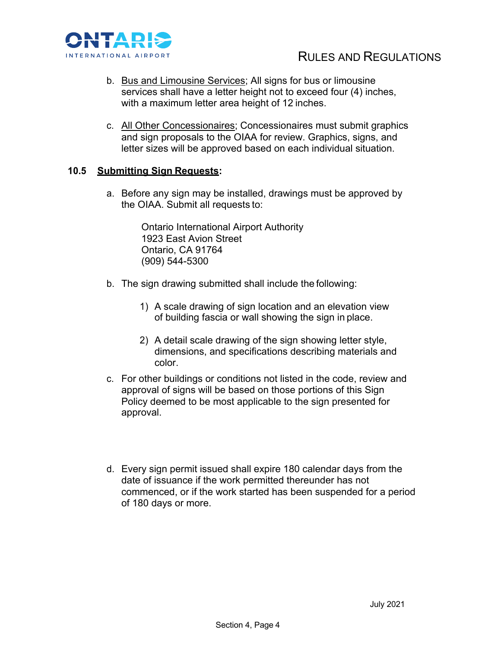

- b. Bus and Limousine Services; All signs for bus or limousine services shall have a letter height not to exceed four (4) inches, with a maximum letter area height of 12 inches.
- c. All Other Concessionaires; Concessionaires must submit graphics and sign proposals to the OIAA for review. Graphics, signs, and letter sizes will be approved based on each individual situation.

### **10.5 Submitting Sign Requests:**

a. Before any sign may be installed, drawings must be approved by the OIAA. Submit all requests to:

> Ontario International Airport Authority 1923 East Avion Street Ontario, CA 91764 (909) 544-5300

- b. The sign drawing submitted shall include the following:
	- 1) A scale drawing of sign location and an elevation view of building fascia or wall showing the sign in place.
	- 2) A detail scale drawing of the sign showing letter style, dimensions, and specifications describing materials and color.
- c. For other buildings or conditions not listed in the code, review and approval of signs will be based on those portions of this Sign Policy deemed to be most applicable to the sign presented for approval.
- d. Every sign permit issued shall expire 180 calendar days from the date of issuance if the work permitted thereunder has not commenced, or if the work started has been suspended for a period of 180 days or more.